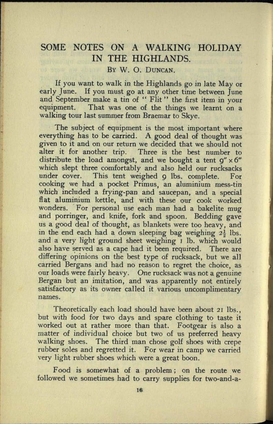## SOME NOTES ON A WALKING HOLIDAY IN THE HIGHLANDS. BY W. O. DUNCAN.

If you want to walk in the Highlands *go* in late May or early June. If you must *go* at any other time between June and September make a tin of " Flit" the first item in your equipment. That was one of the things we learnt on <sup>a</sup> walking tour last summer from Braemar to Skye.

The subject of equipment is the most important where everything has to be carried. A good deal of thought was given to it and on our return we decided that we should not alter it for another trip. Three is the best number to distribute the load amongst, and we bought a tent  $q'' \times 6''$ which slept three comfortably and also held our rucksacks under cover. This tent weighed 9 Ibs. complete. For cooking we had a pocket Primus, an aluminium mess-tin which included a frying-pan and saucepan, and a special flat aluminium kettle, and with these our cook worked wonders. For personal use each man had a bakelite mug and porringer, and knife, fork and spoon. Bedding gave us a good deal of thought, as blankets were too heavy, and in the end each had a down sleeping bag weighing  $2\frac{1}{2}$  lbs. and a very light ground sheet weighing I lb. which would also have served as a cape had it been required. There are differing opinions on the best type of rucksack, but we all carried Bergans and had no reason to regret the choice, as our loads were fairly heavy. One rucksack was not a genuine Bergan but an imitation, and was apparently not entirely satisfactory as its owner called it various uncomplimentary names.

Theoretically each load should have been about 21 Ibs., but with food for two days and spare clothing to taste it worked out at rather more than that. Footgear is also <sup>a</sup> matter of individual choice but two of us preferred heavy walking shoes. The third man chose golf shoes with crepe rubber soles and regretted it. For wear in camp we carried very light rubber shoes which were a great boon.

Food is somewhat of a problem; on the route we followed we sometimes had to carry supplies for two-and-a-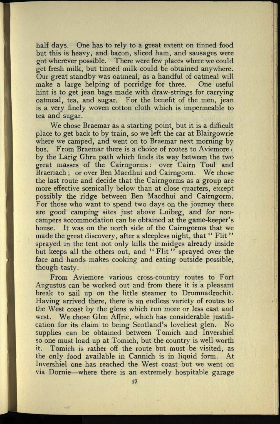half days. One has to rely to a great extent on tinned food but this is heavy, and bacon, sliced ham, and sausages were got wherever possible. There were few places where we could get fresh milk, but tinned milk could be obtained anywhere. Our great standby was oatmeal, as a handful of oatmeal will make a large helping of porridge for three. One useful hint is to get jean bags made with draw-strings for carrying oatmeal, tea, and sugar. For the benefit of the men, jean is a very finely woven cotton cloth which is impermeable to tea and sugar.

We chose Braemar as a starting point, but it is a difficult place to get back to by train, so we left the car at Blairgowrie where we camped, and went on to Braemar next morning by bus. From Braemar there is a choice of routes to Aviemore : by the Larig Ghru path which finds its way between the two great masses of the Cairngorms: over Cairn Toul and Braeriach ; or over Ben Macdhui and Cairngorm. We chose the last route and decide that the Cairngorms as a group are more effective scenically below than at close quarters, except possibly the ridge between Ben Macdhui and Cairngorm. For those who want to spend two days on the journey there are good camping sites just above Luibeg, and for noncampers accommodation can be obtained at the game-keeper's house. It was on the north side of the Cairngorms that we made the great discovery, after a sleepless night, that "Flit" sprayed in the tent not only kills the midges already inside but keeps all the others out, and "Flit" sprayed over the face and hands makes cooking and eating outside possible, though tasty.

From Aviemore various cross-country routes to Fort Augustus can be worked out and from there it is a pleasant break to sail up on the little steamer to Drumnadrochit. Having arrived there, there is an endless variety of routes to the West coast by the glens which run more or less east and west. We chose Glen Affric, which has considerable justification for its claim to being Scotland's loveliest glen. No supplies can be obtained between Tomich and Invershiel so one must load up at Tomich, but the country is well worth it. Tomich is rather off the route but must be visited, as the only food available in Cannich is in liquid form. At Invershiel one has reached the West coast but we went on via Dornie—where there is an extremely hospitable garage